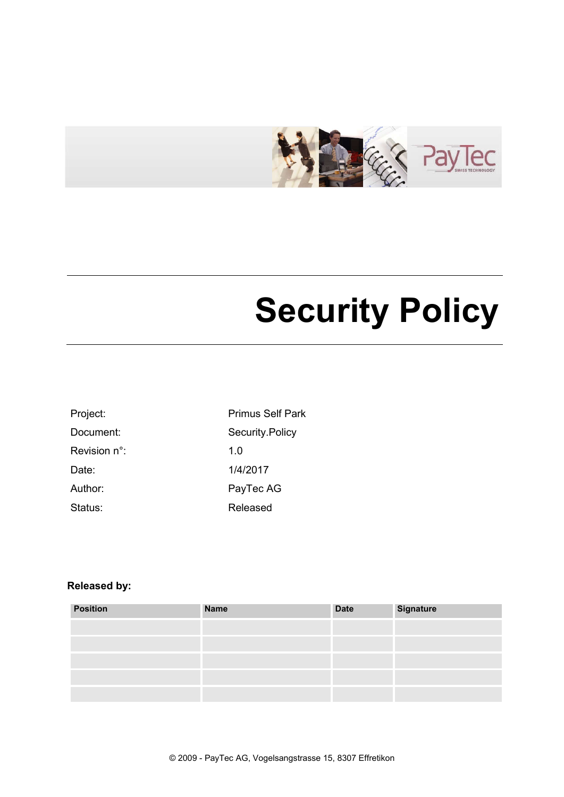

# Security Policy

| Project:               | <b>Primus Self Park</b> |
|------------------------|-------------------------|
| Document:              | Security.Policy         |
| Revision $n^{\circ}$ : | 1.0                     |
| Date:                  | 1/4/2017                |
| Author:                | PayTec AG               |
| Status:                | Released                |

### Released by:

| <b>Position</b> | <b>Name</b> | <b>Date</b> | <b>Signature</b> |
|-----------------|-------------|-------------|------------------|
|                 |             |             |                  |
|                 |             |             |                  |
|                 |             |             |                  |
|                 |             |             |                  |
|                 |             |             |                  |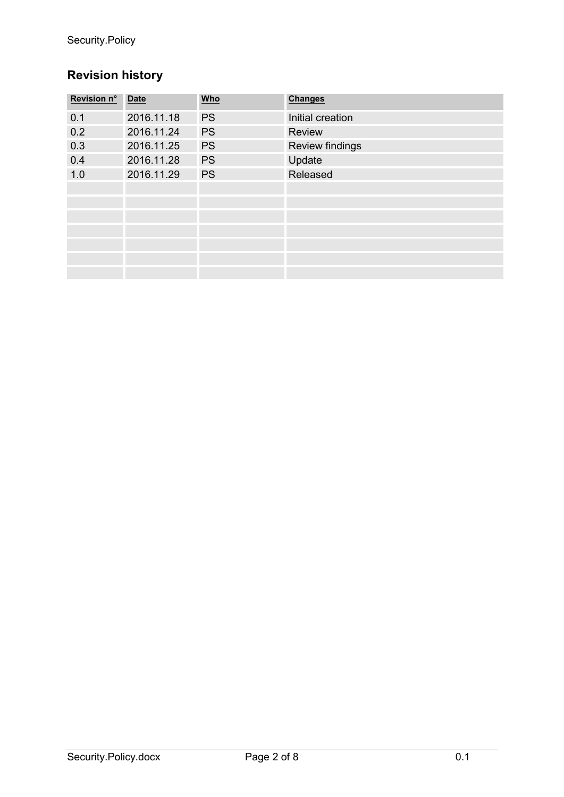## Revision history

| Revision n° | <b>Date</b> | <u>Who</u> | <b>Changes</b>         |
|-------------|-------------|------------|------------------------|
| 0.1         | 2016.11.18  | <b>PS</b>  | Initial creation       |
| 0.2         | 2016.11.24  | <b>PS</b>  | Review                 |
| 0.3         | 2016.11.25  | <b>PS</b>  | <b>Review findings</b> |
| 0.4         | 2016.11.28  | <b>PS</b>  | Update                 |
| 1.0         | 2016.11.29  | <b>PS</b>  | Released               |
|             |             |            |                        |
|             |             |            |                        |
|             |             |            |                        |
|             |             |            |                        |
|             |             |            |                        |
|             |             |            |                        |
|             |             |            |                        |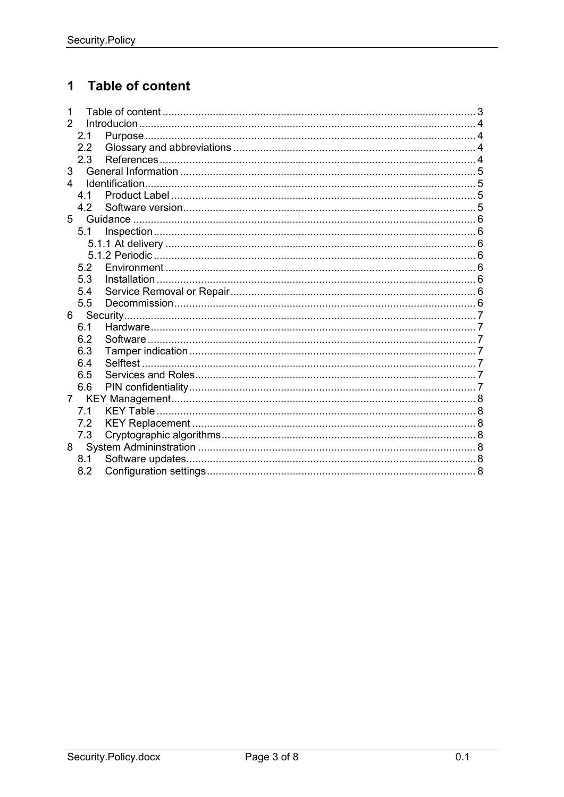#### **Table of content**  $\mathbf 1$

| 1                |     |  |
|------------------|-----|--|
| $\mathcal{P}$    |     |  |
|                  | 2.1 |  |
|                  | 2.2 |  |
|                  | 2.3 |  |
| 3                |     |  |
| $\blacktriangle$ |     |  |
|                  | 4 1 |  |
|                  | 4.2 |  |
| 5                |     |  |
|                  | 5.1 |  |
|                  |     |  |
|                  |     |  |
|                  | 5.2 |  |
|                  | 5.3 |  |
|                  | 5.4 |  |
|                  | 5.5 |  |
| 6                |     |  |
|                  | 6.1 |  |
|                  | 6.2 |  |
|                  | 6.3 |  |
|                  | 6.4 |  |
|                  | 6.5 |  |
|                  | 6.6 |  |
| $\overline{7}$   |     |  |
|                  | 71  |  |
|                  | 7.2 |  |
|                  | 7.3 |  |
| 8                |     |  |
|                  | 8.1 |  |
|                  | 8.2 |  |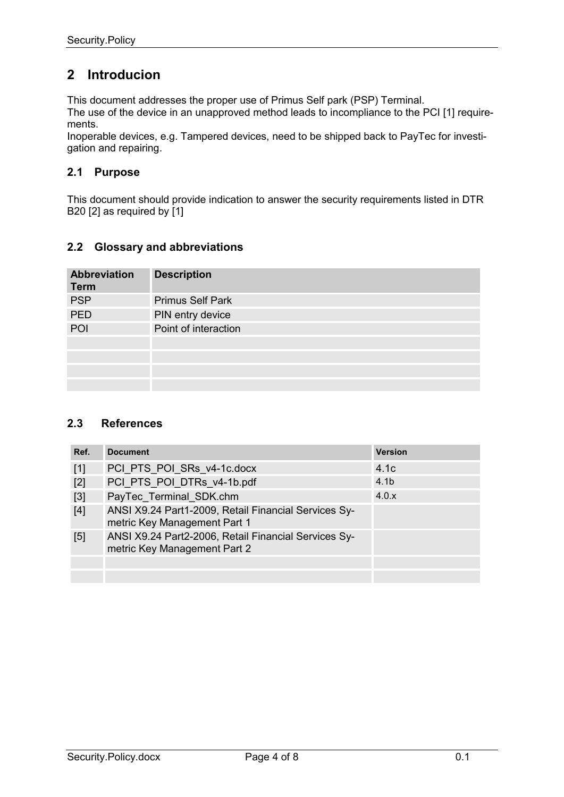## 2 Introducion

This document addresses the proper use of Primus Self park (PSP) Terminal. The use of the device in an unapproved method leads to incompliance to the PCI [1] requirements.

Inoperable devices, e.g. Tampered devices, need to be shipped back to PayTec for investigation and repairing.

#### 2.1 Purpose

This document should provide indication to answer the security requirements listed in DTR B20 [2] as required by [1]

#### 2.2 Glossary and abbreviations

| <b>Abbreviation</b><br><b>Term</b> | <b>Description</b>      |
|------------------------------------|-------------------------|
| <b>PSP</b>                         | <b>Primus Self Park</b> |
| <b>PED</b>                         | PIN entry device        |
| POI                                | Point of interaction    |
|                                    |                         |
|                                    |                         |
|                                    |                         |
|                                    |                         |

#### 2.3 References

| Ref.  | <b>Document</b>                                                                      | <b>Version</b>   |
|-------|--------------------------------------------------------------------------------------|------------------|
| $[1]$ | PCI PTS POI SRs v4-1c.docx                                                           | 4.1c             |
| [2]   | PCI PTS POI DTRs v4-1b.pdf                                                           | 4.1 <sub>b</sub> |
| $[3]$ | PayTec Terminal SDK.chm                                                              | 4.0.x            |
| $[4]$ | ANSI X9.24 Part1-2009, Retail Financial Services Sy-<br>metric Key Management Part 1 |                  |
| [5]   | ANSI X9.24 Part2-2006, Retail Financial Services Sy-<br>metric Key Management Part 2 |                  |
|       |                                                                                      |                  |
|       |                                                                                      |                  |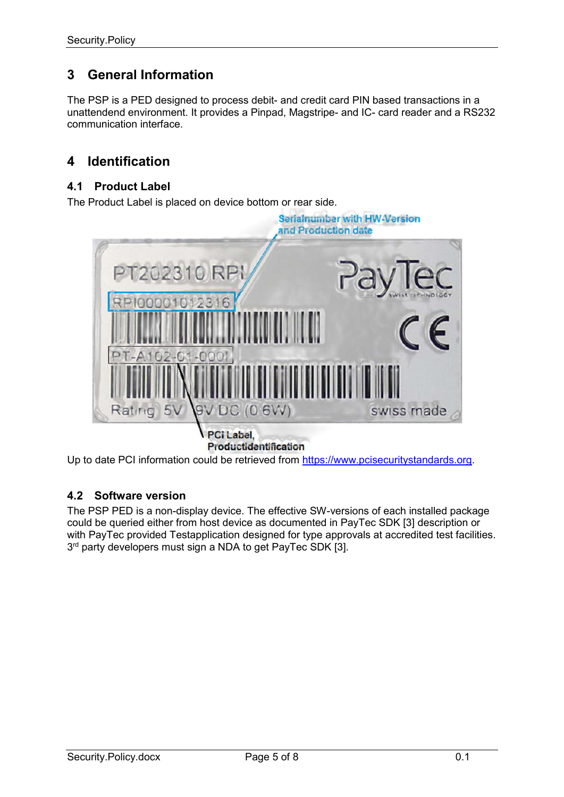## 3 General Information

The PSP is a PED designed to process debit- and credit card PIN based transactions in a unattendend environment. It provides a Pinpad, Magstripe- and IC- card reader and a RS232 communication interface.

## 4 Identification

#### 4.1 Product Label

The Product Label is placed on device bottom or rear side.



Up to date PCI information could be retrieved from https://www.pcisecuritystandards.org.

#### 4.2 Software version

The PSP PED is a non-display device. The effective SW-versions of each installed package could be queried either from host device as documented in PayTec SDK [3] description or with PayTec provided Testapplication designed for type approvals at accredited test facilities. 3<sup>rd</sup> party developers must sign a NDA to get PayTec SDK [3].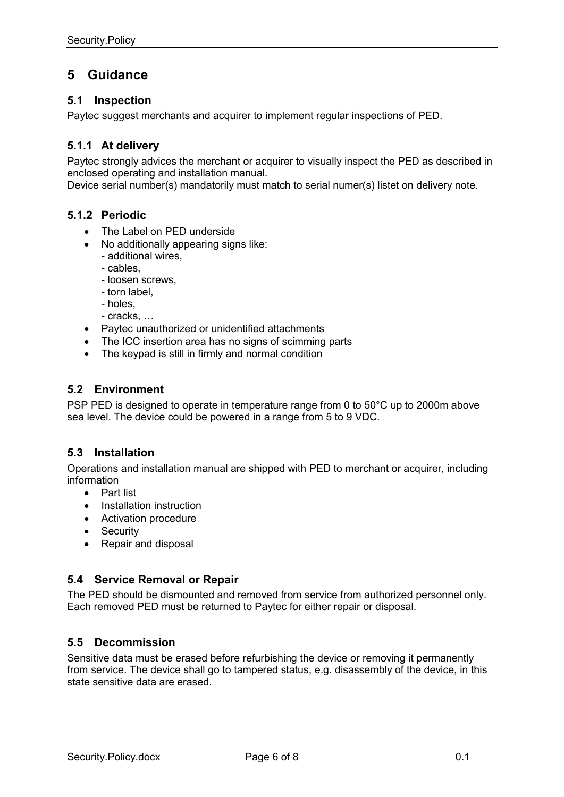## 5 Guidance

#### 5.1 Inspection

Paytec suggest merchants and acquirer to implement regular inspections of PED.

#### 5.1.1 At delivery

Paytec strongly advices the merchant or acquirer to visually inspect the PED as described in enclosed operating and installation manual.

Device serial number(s) mandatorily must match to serial numer(s) listet on delivery note.

#### 5.1.2 Periodic

- The Label on PED underside
- No additionally appearing signs like: - additional wires,
	- cables,
	- loosen screws,
	- torn label,
	- holes,
	- cracks, …
- Paytec unauthorized or unidentified attachments
- The ICC insertion area has no signs of scimming parts
- The keypad is still in firmly and normal condition

#### 5.2 Environment

PSP PED is designed to operate in temperature range from 0 to 50°C up to 2000m above sea level. The device could be powered in a range from 5 to 9 VDC.

#### 5.3 Installation

Operations and installation manual are shipped with PED to merchant or acquirer, including information

- Part list
- Installation instruction
- Activation procedure
- Security
- Repair and disposal

#### 5.4 Service Removal or Repair

The PED should be dismounted and removed from service from authorized personnel only. Each removed PED must be returned to Paytec for either repair or disposal.

#### 5.5 Decommission

Sensitive data must be erased before refurbishing the device or removing it permanently from service. The device shall go to tampered status, e.g. disassembly of the device, in this state sensitive data are erased.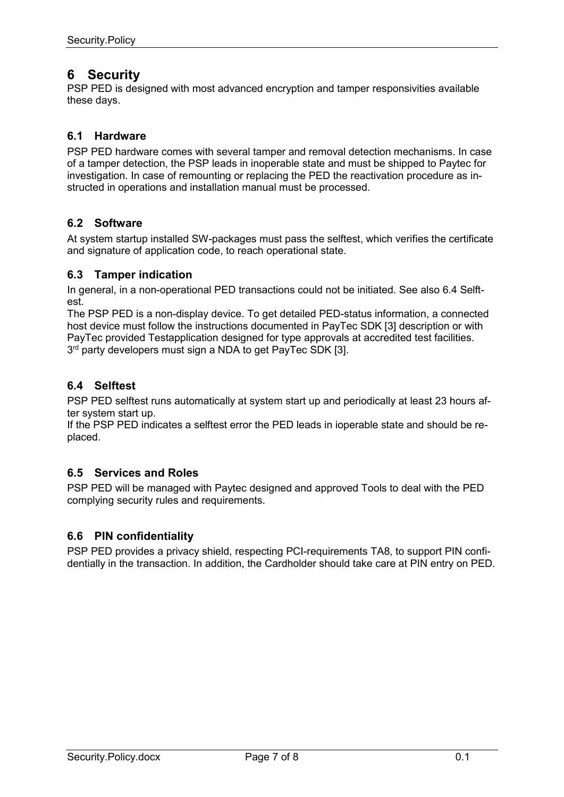## 6 Security

PSP PED is designed with most advanced encryption and tamper responsivities available these days.

#### 6.1 Hardware

PSP PED hardware comes with several tamper and removal detection mechanisms. In case of a tamper detection, the PSP leads in inoperable state and must be shipped to Paytec for investigation. In case of remounting or replacing the PED the reactivation procedure as instructed in operations and installation manual must be processed.

#### 6.2 Software

At system startup installed SW-packages must pass the selftest, which verifies the certificate and signature of application code, to reach operational state.

#### 6.3 Tamper indication

In general, in a non-operational PED transactions could not be initiated. See also 6.4 Selftest.

The PSP PED is a non-display device. To get detailed PED-status information, a connected host device must follow the instructions documented in PayTec SDK [3] description or with PayTec provided Testapplication designed for type approvals at accredited test facilities.  $3<sup>rd</sup>$  party developers must sign a NDA to get PayTec SDK [3].

#### 6.4 Selftest

PSP PED selftest runs automatically at system start up and periodically at least 23 hours after system start up.

If the PSP PED indicates a selftest error the PED leads in ioperable state and should be replaced.

#### 6.5 Services and Roles

PSP PED will be managed with Paytec designed and approved Tools to deal with the PED complying security rules and requirements.

#### 6.6 PIN confidentiality

PSP PED provides a privacy shield, respecting PCI-requirements TA8, to support PIN confidentially in the transaction. In addition, the Cardholder should take care at PIN entry on PED.